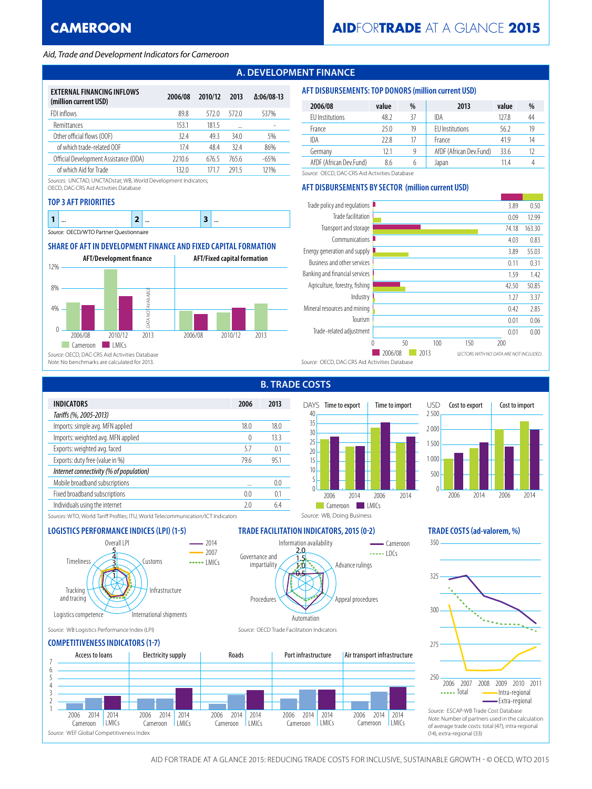## *Aid, Trade and Development Indicators for Cameroon*

# **A. DEVELOPMENT FINANCE**

| <b>EXTERNAL FINANCING INFLOWS</b><br>(million current USD) | 2006/08 | 2010/12 | 2013  | $\Delta:06/08-13$ |
|------------------------------------------------------------|---------|---------|-------|-------------------|
| FDI inflows                                                | 89.8    | 5720    | 5720  | 537%              |
| <b>Remittances</b>                                         | 153.1   | 1815    |       |                   |
| Other official flows (OOF)                                 | 324     | 49.3    | 34.0  | 5%                |
| of which trade-related OOF                                 | 174     | 48.4    | 324   | 86%               |
| Official Development Assistance (ODA)                      | 2210.6  | 676.5   | 765.6 | $-65%$            |
| of which Aid for Trade                                     | 132 0   | 171 7   | 2915  | 121%              |

*Sources:* UNCTAD, UNCTADstat; WB, World Development Indicators;

OECD, DAC-CRS Aid Activities Database

### **TOP 3 AFT PRIORITIES**

|         | $\cdots$                                   | $\cdots$ | $$ |
|---------|--------------------------------------------|----------|----|
| Source: | <b>CD/WTO Partner Questionnaire</b><br>າ⊢ເ |          |    |

## **SHARE OF AFT IN DEVELOPMENT FINANCE AND FIXED CAPITAL FORMATION**



## **AFT DISBURSEMENTS: TOP DONORS (million current USD)**

| 2006/08                 | value | %  | 2013                    | value | %  |
|-------------------------|-------|----|-------------------------|-------|----|
| <b>FU</b> Institutions  | 48.2  | 37 | IDA                     | 127.8 | 44 |
| France                  | 25.0  | 19 | <b>FU</b> Institutions  | 56.2  | 19 |
| IDA                     | 22.8  | 17 | France                  | 419   | 14 |
| Germany                 | 12.1  | 9  | AfDF (African Dev.Fund) | 33.6  |    |
| AfDF (African Dev.Fund) | 8.6   | 6  | Japan                   | 11 4  |    |

*Source:* OECD, DAC-CRS Aid Activities Database

## **AFT DISBURSEMENTS BY SECTOR (million current USD)**



**B. TRADE COSTS**

Information availability

 $\Theta$ . 1.0 1.5 2.0

Automation

Procedures

Governance and impartiality





Advance rulings

 $\frac{1}{2}$  $-$  Cameroon

Appeal procedures



*Sources:* WTO, World Tariff Profiles; ITU, World Telecommunication/ICT Indicators

## **LOGISTICS PERFORMANCE INDICES (LPI) (1-5) TRADE FACILITATION INDICATORS, 2015 (0-2) TRADE COSTS (ad-valorem, %)**



*Source:* WB Logistics Performance Index (LPI) *Source:* OECD Trade Facilitation Indicators

## **COMPETITIVENESS INDICATORS (1-7)**





(14), extra-regional (33)